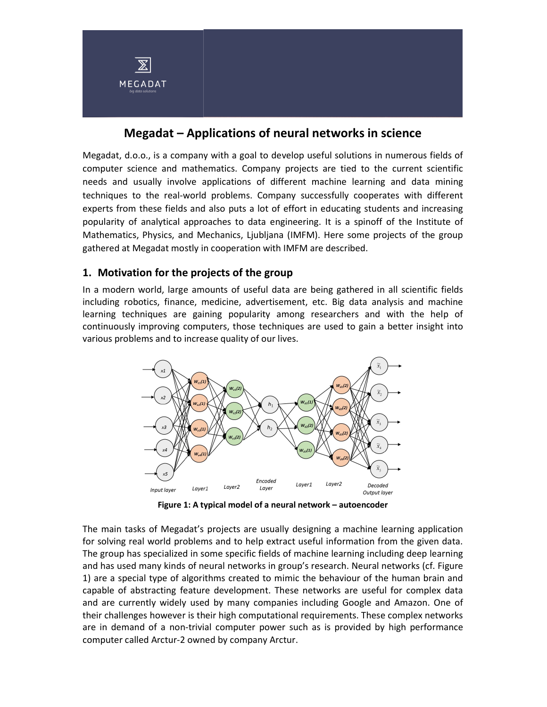

# Megadat – Applications of neural networks in science

Megadat, d.o.o., is a company with a goal to develop useful solutions in numerous fields of computer science and mathematics. Company projects are tied to the current scientific needs and usually involve applications of different machine learning and data mining techniques to the real-world problems. Company successfully cooperates with different experts from these fields and also puts a lot of effort in educating students and increasing popularity of analytical approaches to data engineering. It is a spinoff of the Institute of Mathematics, Physics, and Mechanics, Ljubljana (IMFM). Here some projects of the group gathered at Megadat mostly in cooperation with IMFM are described.

### 1. Motivation for the projects of the group

In a modern world, large amounts of useful data are being gathered in all scientific fields including robotics, finance, medicine, advertisement, etc. Big data analysis and machine learning techniques are gaining popularity among researchers and with the help of continuously improving computers, those techniques are used to gain a better insight into various problems and to increase quality of our lives.



Figure 1: A typical model of a neural network – autoencoder

The main tasks of Megadat's projects are usually designing a machine learning application for solving real world problems and to help extract useful information from the given data. The group has specialized in some specific fields of machine learning including deep learning and has used many kinds of neural networks in group's research. Neural networks (cf. Figure 1) are a special type of algorithms created to mimic the behaviour of the human brain and capable of abstracting feature development. These networks are useful for complex data and are currently widely used by many companies including Google and Amazon. One of their challenges however is their high computational requirements. These complex networks are in demand of a non-trivial computer power such as is provided by high performance computer called Arctur-2 owned by company Arctur.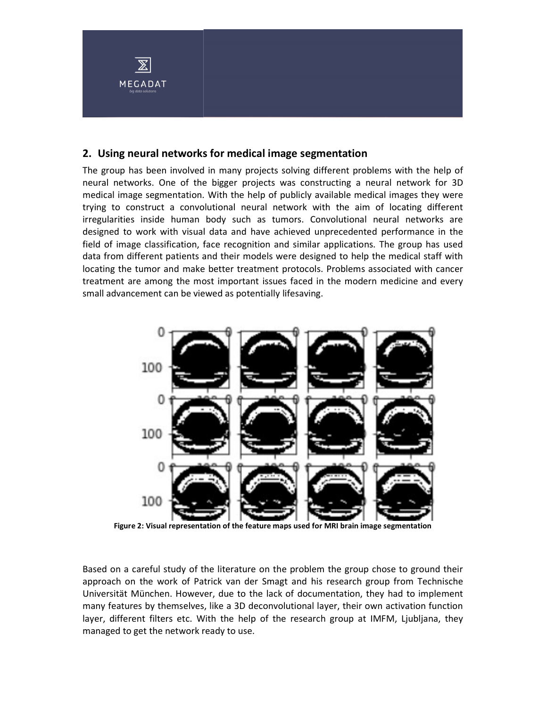

#### 2. Using neural networks for medical image segmentation

The group has been involved in many projects solving different problems with the help of neural networks. One of the bigger projects was constructing a neural network for 3D medical image segmentation. With the help of publicly available medical images they were trying to construct a convolutional neural network with the aim of locating different irregularities inside human body such as tumors. Convolutional neural networks are designed to work with visual data and have achieved unprecedented performance in the field of image classification, face recognition and similar applications. The group has used data from different patients and their models were designed to help the medical staff with locating the tumor and make better treatment protocols. Problems associated with cancer treatment are among the most important issues faced in the modern medicine and every small advancement can be viewed as potentially lifesaving.



Figure 2: Visual representation of the feature maps used for MRI brain image segmentation

Based on a careful study of the literature on the problem the group chose to ground their approach on the work of Patrick van der Smagt and his research group from Technische Universität München. However, due to the lack of documentation, they had to implement many features by themselves, like a 3D deconvolutional layer, their own activation function layer, different filters etc. With the help of the research group at IMFM, Ljubljana, they managed to get the network ready to use.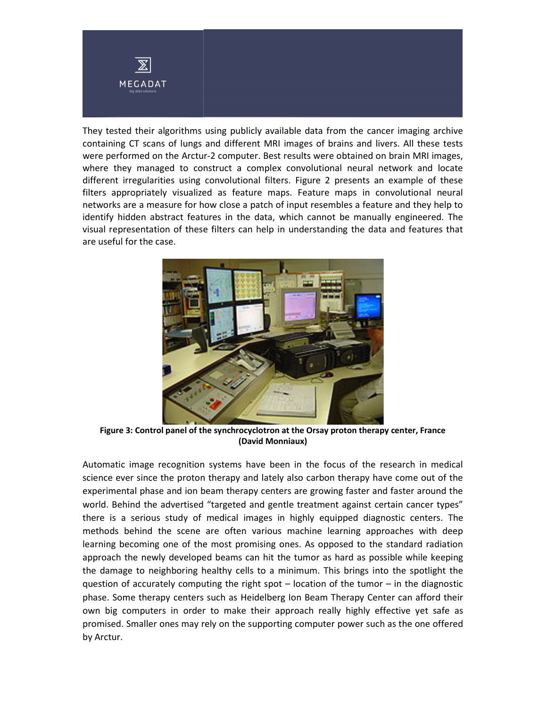

They tested their algorithms using publicly available data from the cancer imaging archive containing CT scans of lungs and different MRI images of brains and livers. All these tests were performed on the Arctur-2 computer. Best results were obtained on brain MRI images, where they managed to construct a complex convolutional neural network and locate different irregularities using convolutional filters. Figure 2 presents an example of these filters appropriately visualized as feature maps. Feature maps in convolutional neural networks are a measure for how close a patch of input resembles a feature and they help to identify hidden abstract features in the data, which cannot be manually engineered. The visual representation of these filters can help in understanding the data and features that are useful for the case.



Figure 3: Control panel of the synchrocyclotron at the Orsay proton therapy center, France (David Monniaux)

Automatic image recognition systems have been in the focus of the research in medical science ever since the proton therapy and lately also carbon therapy have come out of the experimental phase and ion beam therapy centers are growing faster and faster around the world. Behind the advertised "targeted and gentle treatment against certain cancer types" there is a serious study of medical images in highly equipped diagnostic centers. The methods behind the scene are often various machine learning approaches with deep learning becoming one of the most promising ones. As opposed to the standard radiation approach the newly developed beams can hit the tumor as hard as possible while keeping the damage to neighboring healthy cells to a minimum. This brings into the spotlight the question of accurately computing the right spot – location of the tumor – in the diagnostic phase. Some therapy centers such as Heidelberg Ion Beam Therapy Center can afford their own big computers in order to make their approach really highly effective yet safe as promised. Smaller ones may rely on the supporting computer power such as the one offered by Arctur.